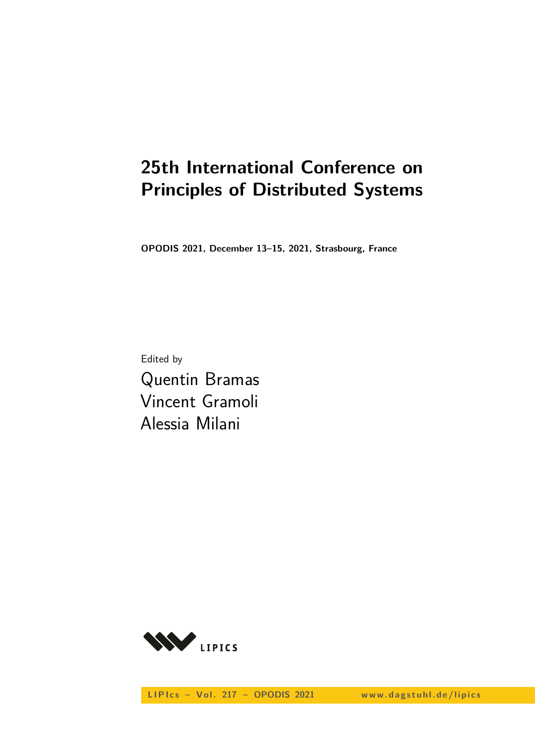# **25th International Conference on Principles of Distributed Systems**

**OPODIS 2021, December 13–15, 2021, Strasbourg, France**

Edited by Quentin Bramas Vincent Gramoli Alessia Milani



LIPIcs - Vol. 217 - OPODIS 2021 www.dagstuhl.de/lipics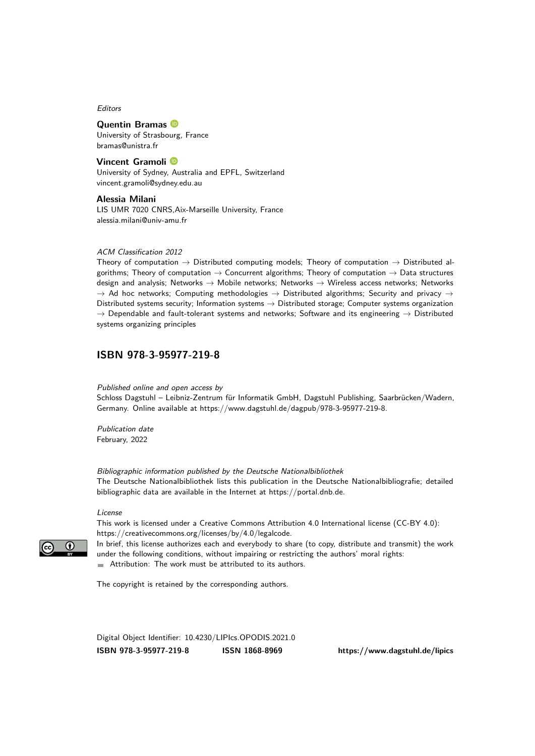Editors

#### **Quentin Bramas**

University of Strasbourg, France [bramas@unistra.fr](mailto:bramas@unistra.fr)

**Vincent Gramoli** University of Sydney, Australia and EPFL, Switzerland [vincent.gramoli@sydney.edu.au](mailto:vincent.gramoli@sydney.edu.au)

**Alessia Milani** LIS UMR 7020 CNRS,Aix-Marseille University, France [alessia.milani@univ-amu.fr](mailto:alessia.milani@univ-amu.fr)

#### ACM Classification 2012

Theory of computation  $\rightarrow$  Distributed computing models; Theory of computation  $\rightarrow$  Distributed algorithms; Theory of computation  $\rightarrow$  Concurrent algorithms; Theory of computation  $\rightarrow$  Data structures design and analysis; Networks → Mobile networks; Networks → Wireless access networks; Networks  $\rightarrow$  Ad hoc networks; Computing methodologies  $\rightarrow$  Distributed algorithms; Security and privacy  $\rightarrow$ Distributed systems security; Information systems  $\rightarrow$  Distributed storage; Computer systems organization  $\rightarrow$  Dependable and fault-tolerant systems and networks; Software and its engineering  $\rightarrow$  Distributed systems organizing principles

#### **[ISBN 978-3-95977-219-8](https://www.dagstuhl.de/dagpub/978-3-95977-219-8)**

Published online and open access by

Schloss Dagstuhl – Leibniz-Zentrum für Informatik GmbH, Dagstuhl Publishing, Saarbrücken/Wadern, Germany. Online available at [https://www.dagstuhl.de/dagpub/978-3-95977-219-8.](https://www.dagstuhl.de/dagpub/978-3-95977-219-8)

Publication date February, 2022

Bibliographic information published by the Deutsche Nationalbibliothek The Deutsche Nationalbibliothek lists this publication in the Deutsche Nationalbibliografie; detailed bibliographic data are available in the Internet at [https://portal.dnb.de.](https://portal.dnb.de)

License

This work is licensed under a Creative Commons Attribution 4.0 International license (CC-BY 4.0): [https://creativecommons.org/licenses/by/4.0/legalcode.](https://creativecommons.org/licenses/by/4.0/legalcode)

In brief, this license authorizes each and everybody to share (to copy, distribute and transmit) the work under the following conditions, without impairing or restricting the authors' moral rights: Attribution: The work must be attributed to its authors.

The copyright is retained by the corresponding authors.

Digital Object Identifier: [10.4230/LIPIcs.OPODIS.2021.0](https://doi.org/10.4230/LIPIcs.OPODIS.2021.0) **[ISBN 978-3-95977-219-8](https://www.dagstuhl.de/dagpub/978-3-95977-219-8) [ISSN 1868-8969](https://www.dagstuhl.de/dagpub/1868-8969)<https://www.dagstuhl.de/lipics>**

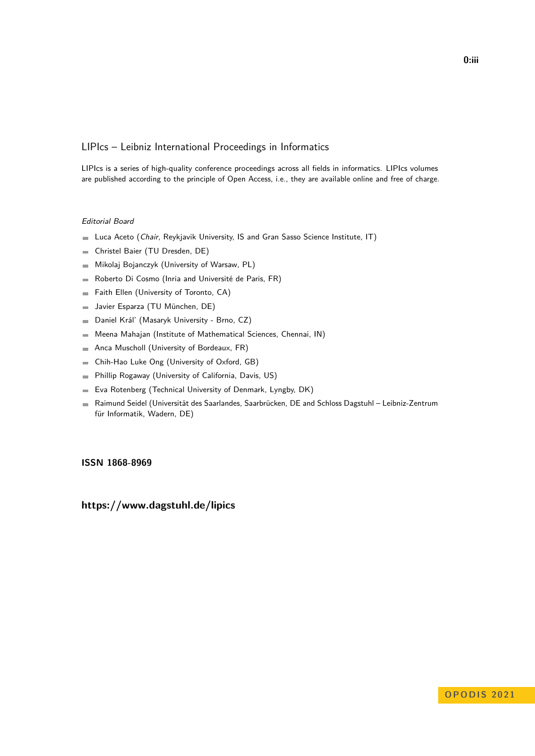#### LIPIcs – Leibniz International Proceedings in Informatics

LIPIcs is a series of high-quality conference proceedings across all fields in informatics. LIPIcs volumes are published according to the principle of Open Access, i.e., they are available online and free of charge.

#### Editorial Board

- **Luca Aceto** (*Chair*, Reykjavik University, IS and Gran Sasso Science Institute, IT)
- Christel Baier (TU Dresden, DE)  $\equiv$
- Mikolaj Bojanczyk (University of Warsaw, PL)  $\equiv$
- Roberto Di Cosmo (Inria and Université de Paris, FR)  $\overline{\phantom{a}}$
- Faith Ellen (University of Toronto, CA)  $\equiv$
- Javier Esparza (TU München, DE)  $\blacksquare$
- Daniel Král' (Masaryk University Brno, CZ)  $\blacksquare$
- Meena Mahajan (Institute of Mathematical Sciences, Chennai, IN)  $\overline{a}$
- Anca Muscholl (University of Bordeaux, FR)  $\overline{\phantom{a}}$
- Chih-Hao Luke Ong (University of Oxford, GB)  $\blacksquare$
- Phillip Rogaway (University of California, Davis, US)  $\blacksquare$
- Eva Rotenberg (Technical University of Denmark, Lyngby, DK)  $\blacksquare$
- Raimund Seidel (Universität des Saarlandes, Saarbrücken, DE and Schloss Dagstuhl Leibniz-Zentrum  $\sim$ für Informatik, Wadern, DE)

#### **[ISSN 1868-8969](https://www.dagstuhl.de/dagpub/1868-8969)**

**<https://www.dagstuhl.de/lipics>**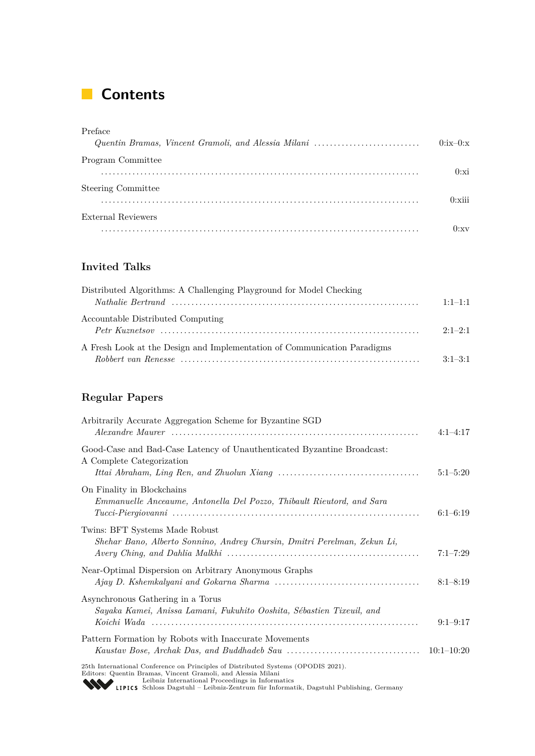## **Contents**

| Preface                                             |              |
|-----------------------------------------------------|--------------|
| Quentin Bramas, Vincent Gramoli, and Alessia Milani | $0:ix-0:x$   |
| Program Committee                                   |              |
| .                                                   | 0:xi         |
| <b>Steering Committee</b>                           |              |
|                                                     | $0:$ xiii    |
| External Reviewers                                  |              |
|                                                     | $\mathbf{u}$ |

### **Invited Talks**

| Distributed Algorithms: A Challenging Playground for Model Checking      |             |
|--------------------------------------------------------------------------|-------------|
|                                                                          | $1.1 - 1.1$ |
| Accountable Distributed Computing                                        | $2.1 - 2.1$ |
| A Fresh Look at the Design and Implementation of Communication Paradigms | $3:1-3:1$   |

### **Regular Papers**

| Arbitrarily Accurate Aggregation Scheme for Byzantine SGD                                                                                                                                                                                                                                               | $4:1-4:17$   |
|---------------------------------------------------------------------------------------------------------------------------------------------------------------------------------------------------------------------------------------------------------------------------------------------------------|--------------|
| Good-Case and Bad-Case Latency of Unauthenticated Byzantine Broadcast:<br>A Complete Categorization                                                                                                                                                                                                     | $5:1 - 5:20$ |
| On Finality in Blockchains<br>Emmanuelle Anceaume, Antonella Del Pozzo, Thibault Rieutord, and Sara                                                                                                                                                                                                     | $6:1-6:19$   |
| Twins: BFT Systems Made Robust<br>Shehar Bano, Alberto Sonnino, Andrey Chursin, Dmitri Perelman, Zekun Li,                                                                                                                                                                                              | $7:1 - 7:29$ |
| Near-Optimal Dispersion on Arbitrary Anonymous Graphs                                                                                                                                                                                                                                                   | $8:1 - 8:19$ |
| Asynchronous Gathering in a Torus<br>Sayaka Kamei, Anissa Lamani, Fukuhito Ooshita, Sébastien Tixeuil, and                                                                                                                                                                                              | $9:1-9:17$   |
| Pattern Formation by Robots with Inaccurate Movements                                                                                                                                                                                                                                                   | $10:1-10:20$ |
| 25th International Conference on Principles of Distributed Systems (OPODIS 2021).<br>Editors: Quentin Bramas, Vincent Gramoli, and Alessia Milani<br>Leibniz International Proceedings in Informatics<br><b>WEIPICS</b> Schloss Dagstuhl - Leibniz-Zentrum für Informatik, Dagstuhl Publishing, Germany |              |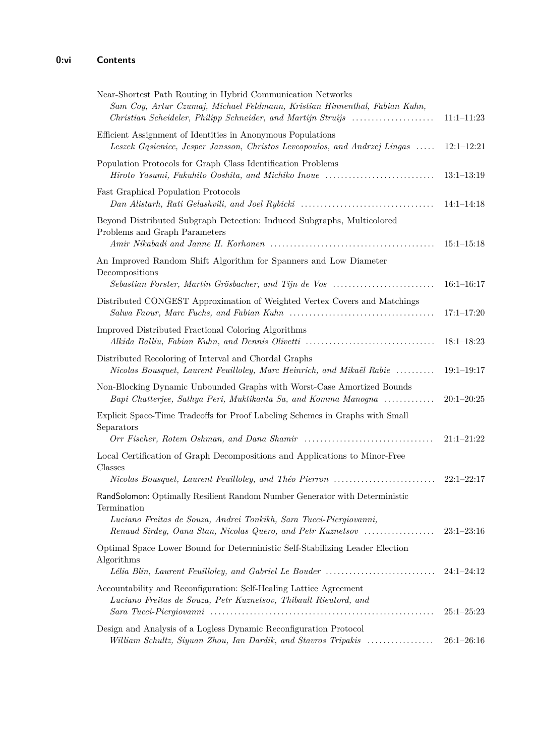| Near-Shortest Path Routing in Hybrid Communication Networks<br>Sam Coy, Artur Czumaj, Michael Feldmann, Kristian Hinnenthal, Fabian Kuhn,<br>Christian Scheideler, Philipp Schneider, and Martijn Struijs                       | $11:1-11:23$                   |
|---------------------------------------------------------------------------------------------------------------------------------------------------------------------------------------------------------------------------------|--------------------------------|
| Efficient Assignment of Identities in Anonymous Populations<br>Leszek Gasieniec, Jesper Jansson, Christos Levcopoulos, and Andrzej Lingas                                                                                       | $12:1 - 12:21$                 |
| Population Protocols for Graph Class Identification Problems<br>Hiroto Yasumi, Fukuhito Ooshita, and Michiko Inoue                                                                                                              | $13:1-13:19$                   |
| Fast Graphical Population Protocols<br>Dan Alistarh, Rati Gelashvili, and Joel Rybicki                                                                                                                                          | $14:1-14:18$                   |
| Beyond Distributed Subgraph Detection: Induced Subgraphs, Multicolored<br>Problems and Graph Parameters                                                                                                                         | $15:1 - 15:18$                 |
| An Improved Random Shift Algorithm for Spanners and Low Diameter<br>Decompositions                                                                                                                                              |                                |
| Sebastian Forster, Martin Grösbacher, and Tijn de Vos<br>Distributed CONGEST Approximation of Weighted Vertex Covers and Matchings                                                                                              | $16:1-16:17$<br>$17:1 - 17:20$ |
| Improved Distributed Fractional Coloring Algorithms<br>Alkida Balliu, Fabian Kuhn, and Dennis Olivetti                                                                                                                          | $18:1 - 18:23$                 |
| Distributed Recoloring of Interval and Chordal Graphs<br>Nicolas Bousquet, Laurent Feuilloley, Marc Heinrich, and Mikaël Rabie                                                                                                  | $19:1-19:17$                   |
| Non-Blocking Dynamic Unbounded Graphs with Worst-Case Amortized Bounds<br>Bapi Chatterjee, Sathya Peri, Muktikanta Sa, and Komma Manogna                                                                                        | $20:1-20:25$                   |
| Explicit Space-Time Tradeoffs for Proof Labeling Schemes in Graphs with Small<br>Separators                                                                                                                                     | $21:1-21:22$                   |
| Local Certification of Graph Decompositions and Applications to Minor-Free<br>Classes                                                                                                                                           |                                |
| Nicolas Bousquet, Laurent Feuilloley, and Théo Pierron                                                                                                                                                                          | $22:1-22:17$                   |
| RandSolomon: Optimally Resilient Random Number Generator with Deterministic<br>Termination<br>Luciano Freitas de Souza, Andrei Tonkikh, Sara Tucci-Piergiovanni,<br>Renaud Sirdey, Oana Stan, Nicolas Quero, and Petr Kuznetsov | $23:1-23:16$                   |
| Optimal Space Lower Bound for Deterministic Self-Stabilizing Leader Election<br>Algorithms<br>Lélia Blin, Laurent Feuilloley, and Gabriel Le Bouder                                                                             | $24:1-24:12$                   |
| Accountability and Reconfiguration: Self-Healing Lattice Agreement<br>Luciano Freitas de Souza, Petr Kuznetsov, Thibault Rieutord, and                                                                                          | $25:1-25:23$                   |
| Design and Analysis of a Logless Dynamic Reconfiguration Protocol<br>William Schultz, Siyuan Zhou, Ian Dardik, and Stavros Tripakis                                                                                             | $26:1 - 26:16$                 |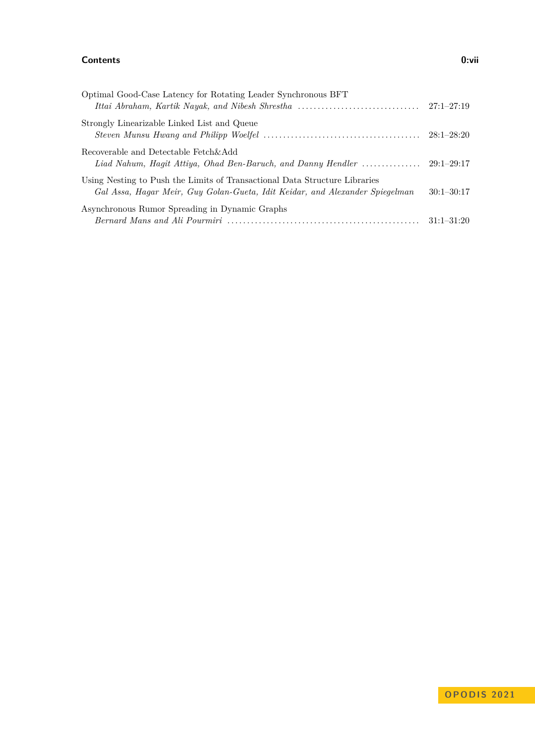#### **Contents 0:vii**

| Optimal Good-Case Latency for Rotating Leader Synchronous BFT                                                                                              |                |
|------------------------------------------------------------------------------------------------------------------------------------------------------------|----------------|
| Strongly Linearizable Linked List and Queue                                                                                                                |                |
| Recoverable and Detectable Fetch&Add                                                                                                                       |                |
| Using Nesting to Push the Limits of Transactional Data Structure Libraries<br>Gal Assa, Hagar Meir, Guy Golan-Gueta, Idit Keidar, and Alexander Spiegelman | $30:1 - 30:17$ |
| Asynchronous Rumor Spreading in Dynamic Graphs                                                                                                             | $31:1 - 31:20$ |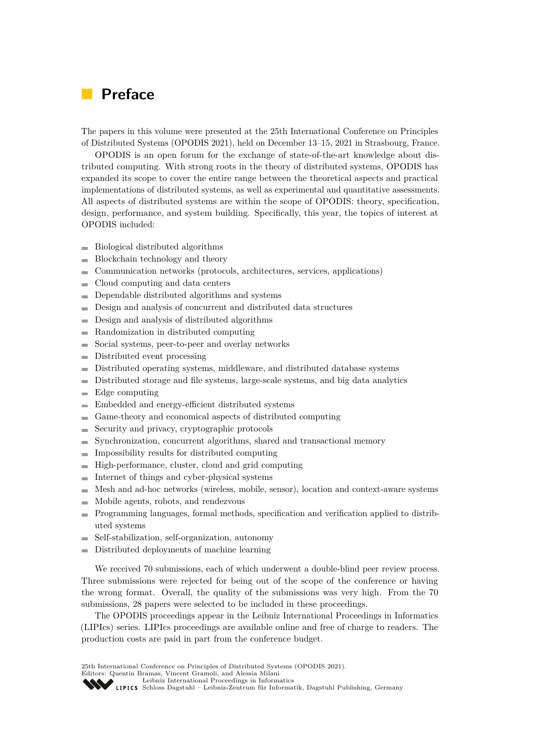### <span id="page-8-0"></span>**Preface**

The papers in this volume were presented at the 25th International Conference on Principles of Distributed Systems (OPODIS 2021), held on December 13–15, 2021 in Strasbourg, France.

OPODIS is an open forum for the exchange of state-of-the-art knowledge about distributed computing. With strong roots in the theory of distributed systems, OPODIS has expanded its scope to cover the entire range between the theoretical aspects and practical implementations of distributed systems, as well as experimental and quantitative assessments. All aspects of distributed systems are within the scope of OPODIS: theory, specification, design, performance, and system building. Specifically, this year, the topics of interest at OPODIS included:

- Biological distributed algorithms m.
- $\blacksquare$ Blockchain technology and theory
- Communication networks (protocols, architectures, services, applications)
- Cloud computing and data centers  $\mathbf{r}$
- Dependable distributed algorithms and systems  $\sim$
- Design and analysis of concurrent and distributed data structures  $\blacksquare$
- $\blacksquare$ Design and analysis of distributed algorithms
- Randomization in distributed computing
- Social systems, peer-to-peer and overlay networks  $\sim$
- Distributed event processing  $\overline{\phantom{a}}$
- Distributed operating systems, middleware, and distributed database systems  $\blacksquare$
- Distributed storage and file systems, large-scale systems, and big data analytics  $\overline{a}$
- Edge computing  $\overline{a}$
- Embedded and energy-efficient distributed systems Ē.
- Game-theory and economical aspects of distributed computing Ē.
- Security and privacy, cryptographic protocols  $\overline{a}$
- Synchronization, concurrent algorithms, shared and transactional memory ÷
- Impossibility results for distributed computing  $\overline{a}$
- High-performance, cluster, cloud and grid computing  $\overline{a}$
- Internet of things and cyber-physical systems Ē.
- Mesh and ad-hoc networks (wireless, mobile, sensor), location and context-aware systems  $\overline{a}$
- Mobile agents, robots, and rendezvous  $\overline{a}$
- Programming languages, formal methods, specification and verification applied to distrib- $\overline{a}$ uted systems
- Self-stabilization, self-organization, autonomy
- Distributed deployments of machine learning  $\overline{a}$

We received 70 submissions, each of which underwent a double-blind peer review process. Three submissions were rejected for being out of the scope of the conference or having the wrong format. Overall, the quality of the submissions was very high. From the 70 submissions, 28 papers were selected to be included in these proceedings.

The OPODIS proceedings appear in the Leibniz International Proceedings in Informatics (LIPIcs) series. LIPIcs proceedings are available online and free of charge to readers. The production costs are paid in part from the conference budget.

25th International Conference on Principles of Distributed Systems (OPODIS 2021).

Editors: Quentin Bramas, Vincent Gramoli, and Alessia Milani

[Leibniz International Proceedings in Informatics](https://www.dagstuhl.de/lipics/)

[Schloss Dagstuhl – Leibniz-Zentrum für Informatik, Dagstuhl Publishing, Germany](https://www.dagstuhl.de)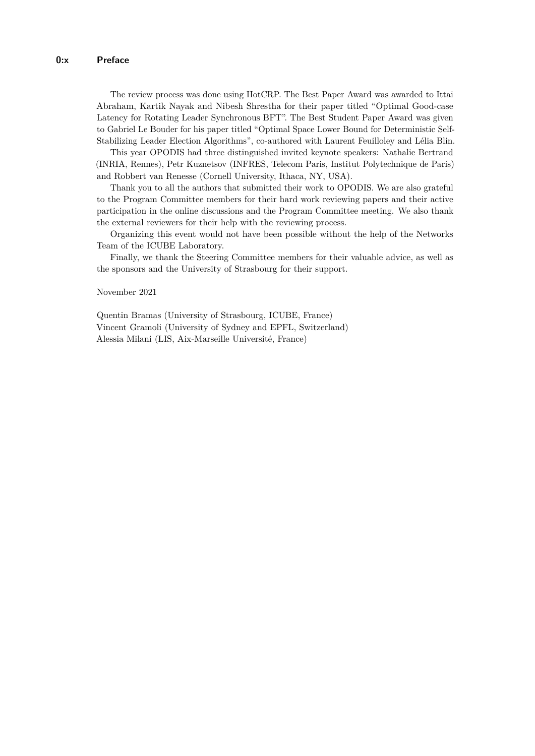The review process was done using HotCRP. The Best Paper Award was awarded to Ittai Abraham, Kartik Nayak and Nibesh Shrestha for their paper titled "Optimal Good-case Latency for Rotating Leader Synchronous BFT". The Best Student Paper Award was given to Gabriel Le Bouder for his paper titled "Optimal Space Lower Bound for Deterministic Self-Stabilizing Leader Election Algorithms", co-authored with Laurent Feuilloley and Lélia Blin.

This year OPODIS had three distinguished invited keynote speakers: Nathalie Bertrand (INRIA, Rennes), Petr Kuznetsov (INFRES, Telecom Paris, Institut Polytechnique de Paris) and Robbert van Renesse (Cornell University, Ithaca, NY, USA).

Thank you to all the authors that submitted their work to OPODIS. We are also grateful to the Program Committee members for their hard work reviewing papers and their active participation in the online discussions and the Program Committee meeting. We also thank the external reviewers for their help with the reviewing process.

Organizing this event would not have been possible without the help of the Networks Team of the ICUBE Laboratory.

Finally, we thank the Steering Committee members for their valuable advice, as well as the sponsors and the University of Strasbourg for their support.

#### November 2021

Quentin Bramas (University of Strasbourg, ICUBE, France) Vincent Gramoli (University of Sydney and EPFL, Switzerland) Alessia Milani (LIS, Aix-Marseille Université, France)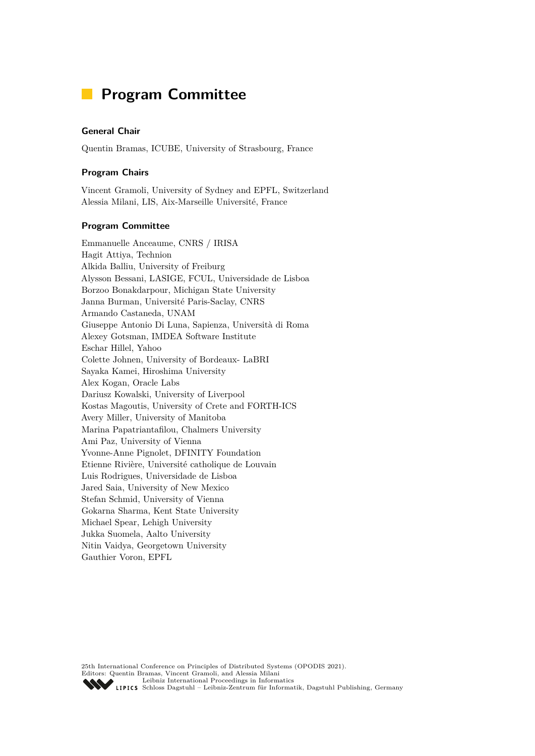### <span id="page-10-0"></span>**Program Committee**

#### **General Chair**

Quentin Bramas, ICUBE, University of Strasbourg, France

#### **Program Chairs**

Vincent Gramoli, University of Sydney and EPFL, Switzerland Alessia Milani, LIS, Aix-Marseille Université, France

#### **Program Committee**

Emmanuelle Anceaume, CNRS / IRISA Hagit Attiya, Technion Alkida Balliu, University of Freiburg Alysson Bessani, LASIGE, FCUL, Universidade de Lisboa Borzoo Bonakdarpour, Michigan State University Janna Burman, Université Paris-Saclay, CNRS Armando Castaneda, UNAM Giuseppe Antonio Di Luna, Sapienza, Università di Roma Alexey Gotsman, IMDEA Software Institute Eschar Hillel, Yahoo Colette Johnen, University of Bordeaux- LaBRI Sayaka Kamei, Hiroshima University Alex Kogan, Oracle Labs Dariusz Kowalski, University of Liverpool Kostas Magoutis, University of Crete and FORTH-ICS Avery Miller, University of Manitoba Marina Papatriantafilou, Chalmers University Ami Paz, University of Vienna Yvonne-Anne Pignolet, DFINITY Foundation Etienne Rivière, Université catholique de Louvain Luis Rodrigues, Universidade de Lisboa Jared Saia, University of New Mexico Stefan Schmid, University of Vienna Gokarna Sharma, Kent State University Michael Spear, Lehigh University Jukka Suomela, Aalto University Nitin Vaidya, Georgetown University Gauthier Voron, EPFL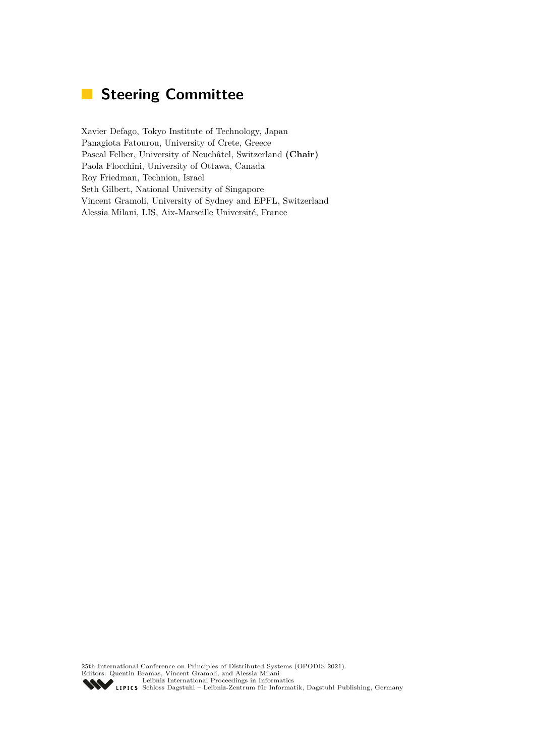# <span id="page-12-0"></span>**Steering Committee**

Xavier Defago, Tokyo Institute of Technology, Japan Panagiota Fatourou, University of Crete, Greece Pascal Felber, University of Neuchâtel, Switzerland **(Chair)** Paola Flocchini, University of Ottawa, Canada Roy Friedman, Technion, Israel Seth Gilbert, National University of Singapore Vincent Gramoli, University of Sydney and EPFL, Switzerland Alessia Milani, LIS, Aix-Marseille Université, France